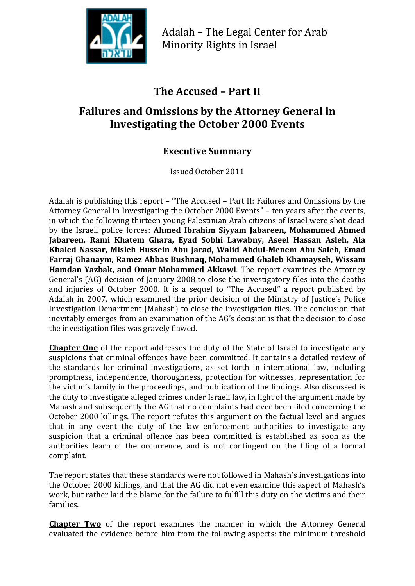

Adalah – The Legal Center for Arab Minority Rights in Israel

## **The Accused – Part II**

## **Failures and Omissions by the Attorney General in Investigating the October 2000 Events**

## **Executive Summary**

Issued October 2011

Adalah is publishing this report – "The Accused – Part II: Failures and Omissions by the Attorney General in Investigating the October 2000 Events" – ten years after the events, in which the following thirteen young Palestinian Arab citizens of Israel were shot dead by the Israeli police forces: **Ahmed Ibrahim Siyyam Jabareen, Mohammed Ahmed Jabareen, Rami Khatem Ghara, Eyad Sobhi Lawabny, Aseel Hassan Asleh, Ala Khaled Nassar, Misleh Hussein Abu Jarad, Walid Abdul-Menem Abu Saleh, Emad Farraj Ghanaym, Ramez Abbas Bushnaq, Mohammed Ghaleb Khamayseh, Wissam Hamdan Yazbak, and Omar Mohammed Akkawi**. The report examines the Attorney General's (AG) decision of January 2008 to close the investigatory files into the deaths and injuries of October 2000. It is a sequel to "The Accused" a report published by Adalah in 2007, which examined the prior decision of the Ministry of Justice's Police Investigation Department (Mahash) to close the investigation files. The conclusion that inevitably emerges from an examination of the AG's decision is that the decision to close the investigation files was gravely flawed.

**Chapter One** of the report addresses the duty of the State of Israel to investigate any suspicions that criminal offences have been committed. It contains a detailed review of the standards for criminal investigations, as set forth in international law, including promptness, independence, thoroughness, protection for witnesses, representation for the victim's family in the proceedings, and publication of the findings. Also discussed is the duty to investigate alleged crimes under Israeli law, in light of the argument made by Mahash and subsequently the AG that no complaints had ever been filed concerning the October 2000 killings. The report refutes this argument on the factual level and argues that in any event the duty of the law enforcement authorities to investigate any suspicion that a criminal offence has been committed is established as soon as the authorities learn of the occurrence, and is not contingent on the filing of a formal complaint.

The report states that these standards were not followed in Mahash's investigations into the October 2000 killings, and that the AG did not even examine this aspect of Mahash's work, but rather laid the blame for the failure to fulfill this duty on the victims and their families.

**Chapter Two** of the report examines the manner in which the Attorney General evaluated the evidence before him from the following aspects: the minimum threshold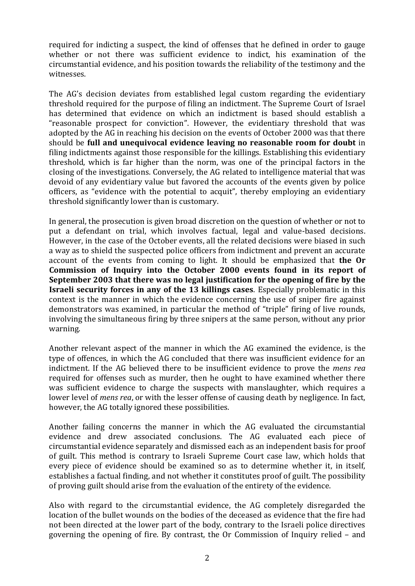required for indicting a suspect, the kind of offenses that he defined in order to gauge whether or not there was sufficient evidence to indict, his examination of the circumstantial evidence, and his position towards the reliability of the testimony and the witnesses.

The AG's decision deviates from established legal custom regarding the evidentiary threshold required for the purpose of filing an indictment. The Supreme Court of Israel has determined that evidence on which an indictment is based should establish a "reasonable prospect for conviction". However, the evidentiary threshold that was adopted by the AG in reaching his decision on the events of October 2000 was that there should be **full and unequivocal evidence leaving no reasonable room for doubt** in filing indictments against those responsible for the killings. Establishing this evidentiary threshold, which is far higher than the norm, was one of the principal factors in the closing of the investigations. Conversely, the AG related to intelligence material that was devoid of any evidentiary value but favored the accounts of the events given by police officers, as "evidence with the potential to acquit", thereby employing an evidentiary threshold significantly lower than is customary.

In general, the prosecution is given broad discretion on the question of whether or not to put a defendant on trial, which involves factual, legal and value-based decisions. However, in the case of the October events, all the related decisions were biased in such a way as to shield the suspected police officers from indictment and prevent an accurate account of the events from coming to light. It should be emphasized that **the Or Commission of Inquiry into the October 2000 events found in its report of September 2003 that there was no legal justification for the opening of fire by the Israeli security forces in any of the 13 killings cases**. Especially problematic in this context is the manner in which the evidence concerning the use of sniper fire against demonstrators was examined, in particular the method of "triple" firing of live rounds, involving the simultaneous firing by three snipers at the same person, without any prior warning.

Another relevant aspect of the manner in which the AG examined the evidence, is the type of offences, in which the AG concluded that there was insufficient evidence for an indictment. If the AG believed there to be insufficient evidence to prove the *mens rea* required for offenses such as murder, then he ought to have examined whether there was sufficient evidence to charge the suspects with manslaughter, which requires a lower level of *mens rea*, or with the lesser offense of causing death by negligence. In fact, however, the AG totally ignored these possibilities.

Another failing concerns the manner in which the AG evaluated the circumstantial evidence and drew associated conclusions. The AG evaluated each piece of circumstantial evidence separately and dismissed each as an independent basis for proof of guilt. This method is contrary to Israeli Supreme Court case law, which holds that every piece of evidence should be examined so as to determine whether it, in itself, establishes a factual finding, and not whether it constitutes proof of guilt. The possibility of proving guilt should arise from the evaluation of the entirety of the evidence.

Also with regard to the circumstantial evidence, the AG completely disregarded the location of the bullet wounds on the bodies of the deceased as evidence that the fire had not been directed at the lower part of the body, contrary to the Israeli police directives governing the opening of fire. By contrast, the Or Commission of Inquiry relied – and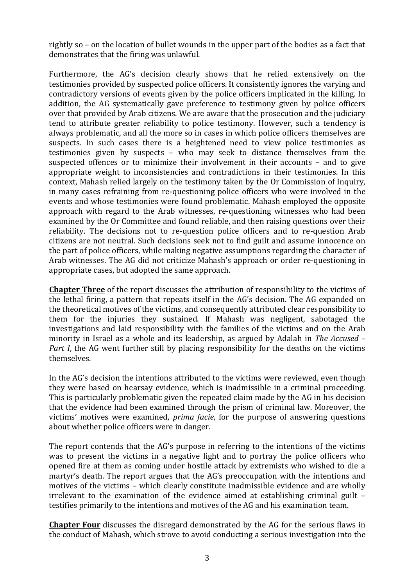rightly so – on the location of bullet wounds in the upper part of the bodies as a fact that demonstrates that the firing was unlawful.

Furthermore, the AG's decision clearly shows that he relied extensively on the testimonies provided by suspected police officers. It consistently ignores the varying and contradictory versions of events given by the police officers implicated in the killing. In addition, the AG systematically gave preference to testimony given by police officers over that provided by Arab citizens. We are aware that the prosecution and the judiciary tend to attribute greater reliability to police testimony. However, such a tendency is always problematic, and all the more so in cases in which police officers themselves are suspects. In such cases there is a heightened need to view police testimonies as testimonies given by suspects – who may seek to distance themselves from the suspected offences or to minimize their involvement in their accounts – and to give appropriate weight to inconsistencies and contradictions in their testimonies. In this context, Mahash relied largely on the testimony taken by the Or Commission of Inquiry, in many cases refraining from re-questioning police officers who were involved in the events and whose testimonies were found problematic. Mahash employed the opposite approach with regard to the Arab witnesses, re-questioning witnesses who had been examined by the Or Committee and found reliable, and then raising questions over their reliability. The decisions not to re-question police officers and to re-question Arab citizens are not neutral. Such decisions seek not to find guilt and assume innocence on the part of police officers, while making negative assumptions regarding the character of Arab witnesses. The AG did not criticize Mahash's approach or order re-questioning in appropriate cases, but adopted the same approach.

**Chapter Three** of the report discusses the attribution of responsibility to the victims of the lethal firing, a pattern that repeats itself in the AG's decision. The AG expanded on the theoretical motives of the victims, and consequently attributed clear responsibility to them for the injuries they sustained. If Mahash was negligent, sabotaged the investigations and laid responsibility with the families of the victims and on the Arab minority in Israel as a whole and its leadership, as argued by Adalah in *The Accused – Part I*, the AG went further still by placing responsibility for the deaths on the victims themselves.

In the AG's decision the intentions attributed to the victims were reviewed, even though they were based on hearsay evidence, which is inadmissible in a criminal proceeding. This is particularly problematic given the repeated claim made by the AG in his decision that the evidence had been examined through the prism of criminal law. Moreover, the victims' motives were examined, *prima facie*, for the purpose of answering questions about whether police officers were in danger.

The report contends that the AG's purpose in referring to the intentions of the victims was to present the victims in a negative light and to portray the police officers who opened fire at them as coming under hostile attack by extremists who wished to die a martyr's death. The report argues that the AG's preoccupation with the intentions and motives of the victims – which clearly constitute inadmissible evidence and are wholly irrelevant to the examination of the evidence aimed at establishing criminal guilt – testifies primarily to the intentions and motives of the AG and his examination team.

**Chapter Four** discusses the disregard demonstrated by the AG for the serious flaws in the conduct of Mahash, which strove to avoid conducting a serious investigation into the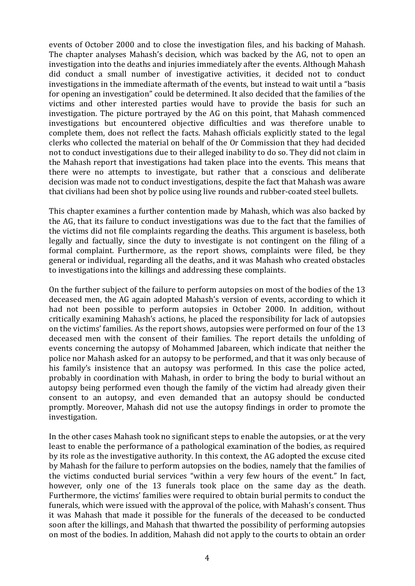events of October 2000 and to close the investigation files, and his backing of Mahash. The chapter analyses Mahash's decision, which was backed by the AG, not to open an investigation into the deaths and injuries immediately after the events. Although Mahash did conduct a small number of investigative activities, it decided not to conduct investigations in the immediate aftermath of the events, but instead to wait until a "basis for opening an investigation" could be determined. It also decided that the families of the victims and other interested parties would have to provide the basis for such an investigation. The picture portrayed by the AG on this point, that Mahash commenced investigations but encountered objective difficulties and was therefore unable to complete them, does not reflect the facts. Mahash officials explicitly stated to the legal clerks who collected the material on behalf of the Or Commission that they had decided not to conduct investigations due to their alleged inability to do so. They did not claim in the Mahash report that investigations had taken place into the events. This means that there were no attempts to investigate, but rather that a conscious and deliberate decision was made not to conduct investigations, despite the fact that Mahash was aware that civilians had been shot by police using live rounds and rubber-coated steel bullets.

This chapter examines a further contention made by Mahash, which was also backed by the AG, that its failure to conduct investigations was due to the fact that the families of the victims did not file complaints regarding the deaths. This argument is baseless, both legally and factually, since the duty to investigate is not contingent on the filing of a formal complaint. Furthermore, as the report shows, complaints were filed, be they general or individual, regarding all the deaths, and it was Mahash who created obstacles to investigations into the killings and addressing these complaints.

On the further subject of the failure to perform autopsies on most of the bodies of the 13 deceased men, the AG again adopted Mahash's version of events, according to which it had not been possible to perform autopsies in October 2000. In addition, without critically examining Mahash's actions, he placed the responsibility for lack of autopsies on the victims' families. As the report shows, autopsies were performed on four of the 13 deceased men with the consent of their families. The report details the unfolding of events concerning the autopsy of Mohammed Jabareen, which indicate that neither the police nor Mahash asked for an autopsy to be performed, and that it was only because of his family's insistence that an autopsy was performed. In this case the police acted, probably in coordination with Mahash, in order to bring the body to burial without an autopsy being performed even though the family of the victim had already given their consent to an autopsy, and even demanded that an autopsy should be conducted promptly. Moreover, Mahash did not use the autopsy findings in order to promote the investigation.

In the other cases Mahash took no significant steps to enable the autopsies, or at the very least to enable the performance of a pathological examination of the bodies, as required by its role as the investigative authority. In this context, the AG adopted the excuse cited by Mahash for the failure to perform autopsies on the bodies, namely that the families of the victims conducted burial services "within a very few hours of the event." In fact, however, only one of the 13 funerals took place on the same day as the death. Furthermore, the victims' families were required to obtain burial permits to conduct the funerals, which were issued with the approval of the police, with Mahash's consent. Thus it was Mahash that made it possible for the funerals of the deceased to be conducted soon after the killings, and Mahash that thwarted the possibility of performing autopsies on most of the bodies. In addition, Mahash did not apply to the courts to obtain an order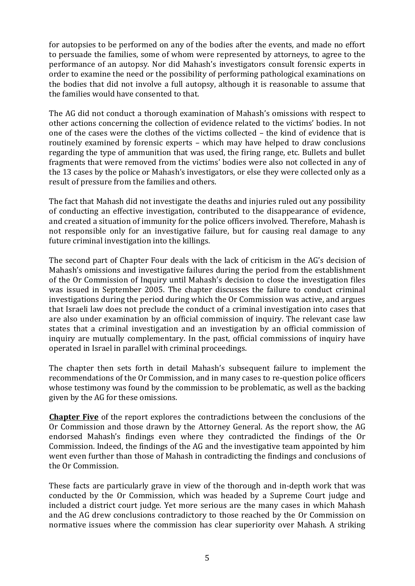for autopsies to be performed on any of the bodies after the events, and made no effort to persuade the families, some of whom were represented by attorneys, to agree to the performance of an autopsy. Nor did Mahash's investigators consult forensic experts in order to examine the need or the possibility of performing pathological examinations on the bodies that did not involve a full autopsy, although it is reasonable to assume that the families would have consented to that.

The AG did not conduct a thorough examination of Mahash's omissions with respect to other actions concerning the collection of evidence related to the victims' bodies. In not one of the cases were the clothes of the victims collected – the kind of evidence that is routinely examined by forensic experts – which may have helped to draw conclusions regarding the type of ammunition that was used, the firing range, etc. Bullets and bullet fragments that were removed from the victims' bodies were also not collected in any of the 13 cases by the police or Mahash's investigators, or else they were collected only as a result of pressure from the families and others.

The fact that Mahash did not investigate the deaths and injuries ruled out any possibility of conducting an effective investigation, contributed to the disappearance of evidence, and created a situation of immunity for the police officers involved. Therefore, Mahash is not responsible only for an investigative failure, but for causing real damage to any future criminal investigation into the killings.

The second part of Chapter Four deals with the lack of criticism in the AG's decision of Mahash's omissions and investigative failures during the period from the establishment of the Or Commission of Inquiry until Mahash's decision to close the investigation files was issued in September 2005. The chapter discusses the failure to conduct criminal investigations during the period during which the Or Commission was active, and argues that Israeli law does not preclude the conduct of a criminal investigation into cases that are also under examination by an official commission of inquiry. The relevant case law states that a criminal investigation and an investigation by an official commission of inquiry are mutually complementary. In the past, official commissions of inquiry have operated in Israel in parallel with criminal proceedings.

The chapter then sets forth in detail Mahash's subsequent failure to implement the recommendations of the Or Commission, and in many cases to re-question police officers whose testimony was found by the commission to be problematic, as well as the backing given by the AG for these omissions.

**Chapter Five** of the report explores the contradictions between the conclusions of the Or Commission and those drawn by the Attorney General. As the report show, the AG endorsed Mahash's findings even where they contradicted the findings of the Or Commission. Indeed, the findings of the AG and the investigative team appointed by him went even further than those of Mahash in contradicting the findings and conclusions of the Or Commission.

These facts are particularly grave in view of the thorough and in-depth work that was conducted by the Or Commission, which was headed by a Supreme Court judge and included a district court judge. Yet more serious are the many cases in which Mahash and the AG drew conclusions contradictory to those reached by the Or Commission on normative issues where the commission has clear superiority over Mahash. A striking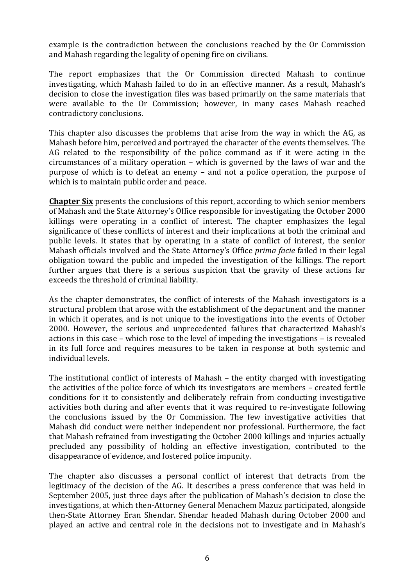example is the contradiction between the conclusions reached by the Or Commission and Mahash regarding the legality of opening fire on civilians.

The report emphasizes that the Or Commission directed Mahash to continue investigating, which Mahash failed to do in an effective manner. As a result, Mahash's decision to close the investigation files was based primarily on the same materials that were available to the Or Commission; however, in many cases Mahash reached contradictory conclusions.

This chapter also discusses the problems that arise from the way in which the AG, as Mahash before him, perceived and portrayed the character of the events themselves. The AG related to the responsibility of the police command as if it were acting in the circumstances of a military operation – which is governed by the laws of war and the purpose of which is to defeat an enemy – and not a police operation, the purpose of which is to maintain public order and peace.

**Chapter Six** presents the conclusions of this report, according to which senior members of Mahash and the State Attorney's Office responsible for investigating the October 2000 killings were operating in a conflict of interest. The chapter emphasizes the legal significance of these conflicts of interest and their implications at both the criminal and public levels. It states that by operating in a state of conflict of interest, the senior Mahash officials involved and the State Attorney's Office *prima facie* failed in their legal obligation toward the public and impeded the investigation of the killings. The report further argues that there is a serious suspicion that the gravity of these actions far exceeds the threshold of criminal liability.

As the chapter demonstrates, the conflict of interests of the Mahash investigators is a structural problem that arose with the establishment of the department and the manner in which it operates, and is not unique to the investigations into the events of October 2000. However, the serious and unprecedented failures that characterized Mahash's actions in this case – which rose to the level of impeding the investigations – is revealed in its full force and requires measures to be taken in response at both systemic and individual levels.

The institutional conflict of interests of Mahash – the entity charged with investigating the activities of the police force of which its investigators are members – created fertile conditions for it to consistently and deliberately refrain from conducting investigative activities both during and after events that it was required to re-investigate following the conclusions issued by the Or Commission. The few investigative activities that Mahash did conduct were neither independent nor professional. Furthermore, the fact that Mahash refrained from investigating the October 2000 killings and injuries actually precluded any possibility of holding an effective investigation, contributed to the disappearance of evidence, and fostered police impunity.

The chapter also discusses a personal conflict of interest that detracts from the legitimacy of the decision of the AG. It describes a press conference that was held in September 2005, just three days after the publication of Mahash's decision to close the investigations, at which then-Attorney General Menachem Mazuz participated, alongside then-State Attorney Eran Shendar. Shendar headed Mahash during October 2000 and played an active and central role in the decisions not to investigate and in Mahash's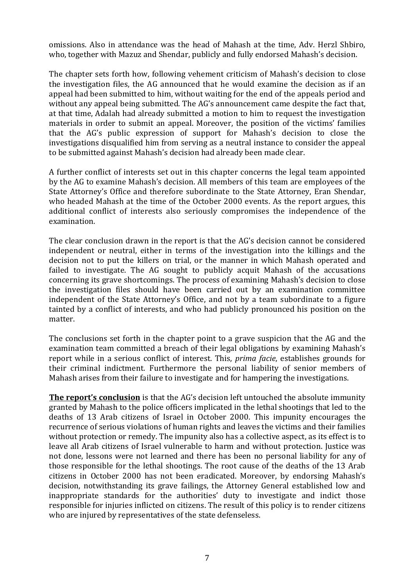omissions. Also in attendance was the head of Mahash at the time, Adv. Herzl Shbiro, who, together with Mazuz and Shendar, publicly and fully endorsed Mahash's decision.

The chapter sets forth how, following vehement criticism of Mahash's decision to close the investigation files, the AG announced that he would examine the decision as if an appeal had been submitted to him, without waiting for the end of the appeals period and without any appeal being submitted. The AG's announcement came despite the fact that. at that time, Adalah had already submitted a motion to him to request the investigation materials in order to submit an appeal. Moreover, the position of the victims' families that the AG's public expression of support for Mahash's decision to close the investigations disqualified him from serving as a neutral instance to consider the appeal to be submitted against Mahash's decision had already been made clear.

A further conflict of interests set out in this chapter concerns the legal team appointed by the AG to examine Mahash's decision. All members of this team are employees of the State Attorney's Office and therefore subordinate to the State Attorney, Eran Shendar, who headed Mahash at the time of the October 2000 events. As the report argues, this additional conflict of interests also seriously compromises the independence of the examination.

The clear conclusion drawn in the report is that the AG's decision cannot be considered independent or neutral, either in terms of the investigation into the killings and the decision not to put the killers on trial, or the manner in which Mahash operated and failed to investigate. The AG sought to publicly acquit Mahash of the accusations concerning its grave shortcomings. The process of examining Mahash's decision to close the investigation files should have been carried out by an examination committee independent of the State Attorney's Office, and not by a team subordinate to a figure tainted by a conflict of interests, and who had publicly pronounced his position on the matter.

The conclusions set forth in the chapter point to a grave suspicion that the AG and the examination team committed a breach of their legal obligations by examining Mahash's report while in a serious conflict of interest. This, *prima facie*, establishes grounds for their criminal indictment. Furthermore the personal liability of senior members of Mahash arises from their failure to investigate and for hampering the investigations.

**The report's conclusion** is that the AG's decision left untouched the absolute immunity granted by Mahash to the police officers implicated in the lethal shootings that led to the deaths of 13 Arab citizens of Israel in October 2000. This impunity encourages the recurrence of serious violations of human rights and leaves the victims and their families without protection or remedy. The impunity also has a collective aspect, as its effect is to leave all Arab citizens of Israel vulnerable to harm and without protection. Justice was not done, lessons were not learned and there has been no personal liability for any of those responsible for the lethal shootings. The root cause of the deaths of the 13 Arab citizens in October 2000 has not been eradicated. Moreover, by endorsing Mahash's decision, notwithstanding its grave failings, the Attorney General established low and inappropriate standards for the authorities' duty to investigate and indict those responsible for injuries inflicted on citizens. The result of this policy is to render citizens who are injured by representatives of the state defenseless.